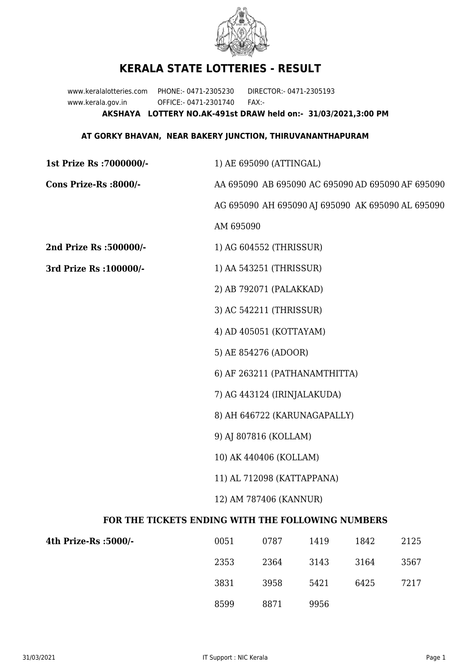

## **KERALA STATE LOTTERIES - RESULT**

www.keralalotteries.com PHONE:- 0471-2305230 DIRECTOR:- 0471-2305193 www.kerala.gov.in OFFICE:- 0471-2301740 FAX:- **AKSHAYA LOTTERY NO.AK-491st DRAW held on:- 31/03/2021,3:00 PM**

## **AT GORKY BHAVAN, NEAR BAKERY JUNCTION, THIRUVANANTHAPURAM**

| 1st Prize Rs : 7000000/-                          | 1) AE 695090 (ATTINGAL)                           |                               |      |      |                                                   |  |  |
|---------------------------------------------------|---------------------------------------------------|-------------------------------|------|------|---------------------------------------------------|--|--|
| Cons Prize-Rs :8000/-                             | AA 695090 AB 695090 AC 695090 AD 695090 AF 695090 |                               |      |      |                                                   |  |  |
|                                                   |                                                   |                               |      |      | AG 695090 AH 695090 AJ 695090 AK 695090 AL 695090 |  |  |
|                                                   | AM 695090                                         |                               |      |      |                                                   |  |  |
| 2nd Prize Rs :500000/-                            |                                                   | 1) AG 604552 (THRISSUR)       |      |      |                                                   |  |  |
| 3rd Prize Rs : 100000/-                           | 1) AA 543251 (THRISSUR)                           |                               |      |      |                                                   |  |  |
|                                                   |                                                   | 2) AB 792071 (PALAKKAD)       |      |      |                                                   |  |  |
|                                                   | 3) AC 542211 (THRISSUR)                           |                               |      |      |                                                   |  |  |
|                                                   |                                                   | 4) AD 405051 (KOTTAYAM)       |      |      |                                                   |  |  |
|                                                   |                                                   | 5) AE 854276 (ADOOR)          |      |      |                                                   |  |  |
|                                                   |                                                   | 6) AF 263211 (PATHANAMTHITTA) |      |      |                                                   |  |  |
|                                                   | 7) AG 443124 (IRINJALAKUDA)                       |                               |      |      |                                                   |  |  |
|                                                   | 8) AH 646722 (KARUNAGAPALLY)                      |                               |      |      |                                                   |  |  |
|                                                   | 9) AJ 807816 (KOLLAM)                             |                               |      |      |                                                   |  |  |
|                                                   | 10) AK 440406 (KOLLAM)                            |                               |      |      |                                                   |  |  |
|                                                   | 11) AL 712098 (KATTAPPANA)                        |                               |      |      |                                                   |  |  |
|                                                   | 12) AM 787406 (KANNUR)                            |                               |      |      |                                                   |  |  |
| FOR THE TICKETS ENDING WITH THE FOLLOWING NUMBERS |                                                   |                               |      |      |                                                   |  |  |
| 4th Prize-Rs :5000/-                              | 0051                                              | 0787                          | 1419 | 1842 | 2125                                              |  |  |

| 4th Prize-Rs :5000/- | 0051 | 0787 | 1419 | 1842 | 2125 |
|----------------------|------|------|------|------|------|
|                      | 2353 | 2364 | 3143 | 3164 | 3567 |
|                      | 3831 | 3958 | 5421 | 6425 | 7217 |
|                      | 8599 | 8871 | 9956 |      |      |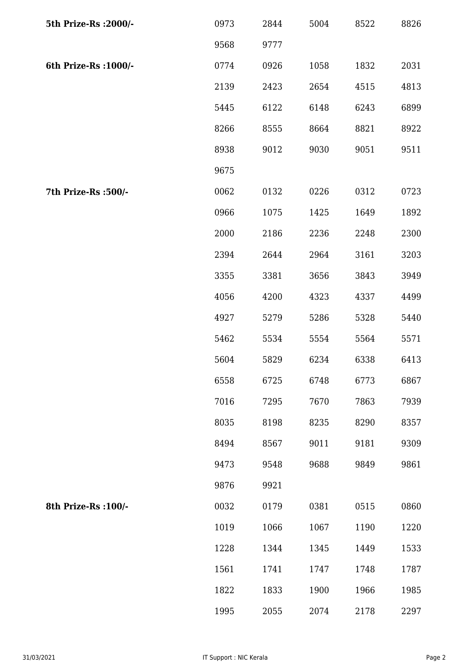| 5th Prize-Rs : 2000/- | 0973 | 2844 | 5004 | 8522 | 8826 |
|-----------------------|------|------|------|------|------|
|                       | 9568 | 9777 |      |      |      |
| 6th Prize-Rs : 1000/- | 0774 | 0926 | 1058 | 1832 | 2031 |
|                       | 2139 | 2423 | 2654 | 4515 | 4813 |
|                       | 5445 | 6122 | 6148 | 6243 | 6899 |
|                       | 8266 | 8555 | 8664 | 8821 | 8922 |
|                       | 8938 | 9012 | 9030 | 9051 | 9511 |
|                       | 9675 |      |      |      |      |
| 7th Prize-Rs :500/-   | 0062 | 0132 | 0226 | 0312 | 0723 |
|                       | 0966 | 1075 | 1425 | 1649 | 1892 |
|                       | 2000 | 2186 | 2236 | 2248 | 2300 |
|                       | 2394 | 2644 | 2964 | 3161 | 3203 |
|                       | 3355 | 3381 | 3656 | 3843 | 3949 |
|                       | 4056 | 4200 | 4323 | 4337 | 4499 |
|                       | 4927 | 5279 | 5286 | 5328 | 5440 |
|                       | 5462 | 5534 | 5554 | 5564 | 5571 |
|                       | 5604 | 5829 | 6234 | 6338 | 6413 |
|                       | 6558 | 6725 | 6748 | 6773 | 6867 |
|                       | 7016 | 7295 | 7670 | 7863 | 7939 |
|                       | 8035 | 8198 | 8235 | 8290 | 8357 |
|                       | 8494 | 8567 | 9011 | 9181 | 9309 |
|                       | 9473 | 9548 | 9688 | 9849 | 9861 |
|                       | 9876 | 9921 |      |      |      |
| 8th Prize-Rs : 100/-  | 0032 | 0179 | 0381 | 0515 | 0860 |
|                       | 1019 | 1066 | 1067 | 1190 | 1220 |
|                       | 1228 | 1344 | 1345 | 1449 | 1533 |
|                       | 1561 | 1741 | 1747 | 1748 | 1787 |
|                       | 1822 | 1833 | 1900 | 1966 | 1985 |
|                       | 1995 | 2055 | 2074 | 2178 | 2297 |